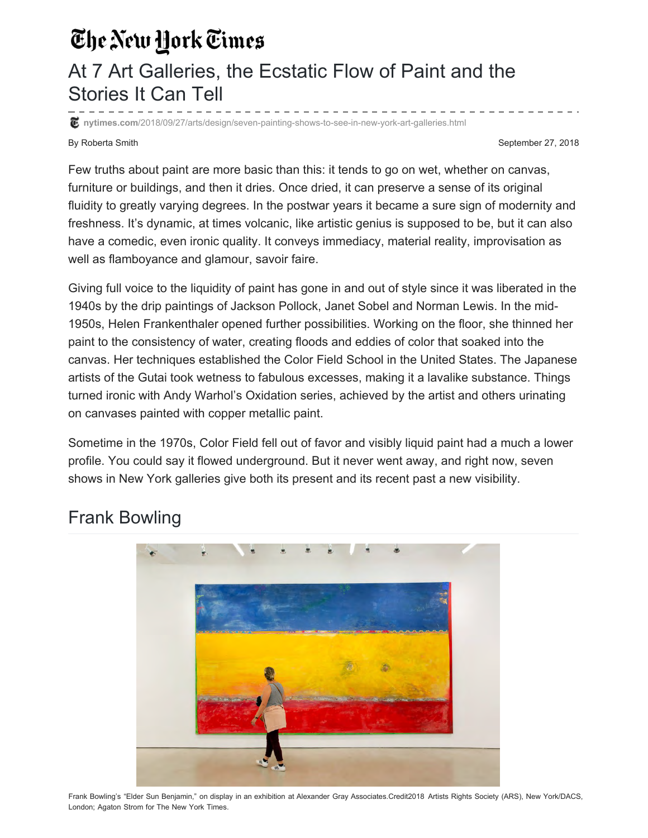## The New York Times

## At 7 Art Galleries, the Ecstatic Flow of Paint and the Stories It Can Tell

**nytimes.com**[/2018/09/27/arts/design/seven-painting-shows-to-see-in-new-york-art-galleries.html](https://www.nytimes.com/2018/09/27/arts/design/seven-painting-shows-to-see-in-new-york-art-galleries.html)

By Roberta Smith September 27, 2018

Few truths about paint are more basic than this: it tends to go on wet, whether on canvas, furniture or buildings, and then it dries. Once dried, it can preserve a sense of its original fluidity to greatly varying degrees. In the postwar years it became a sure sign of modernity and freshness. It's dynamic, at times volcanic, like artistic genius is supposed to be, but it can also have a comedic, even ironic quality. It conveys immediacy, material reality, improvisation as well as flamboyance and glamour, savoir faire.

Giving full voice to the liquidity of paint has gone in and out of style since it was liberated in the 1940s by the drip paintings of Jackson Pollock, Janet Sobel and Norman Lewis. In the mid-1950s, Helen Frankenthaler opened further possibilities. Working on the floor, she thinned her paint to the consistency of water, creating floods and eddies of color that soaked into the canvas. Her techniques established the Color Field School in the United States. The Japanese artists of the Gutai took wetness to fabulous excesses, making it a lavalike substance. Things turned ironic with Andy Warhol's Oxidation series, achieved by the artist and others urinating on canvases painted with copper metallic paint.

Sometime in the 1970s, Color Field fell out of favor and visibly liquid paint had a much a lower profile. You could say it flowed underground. But it never went away, and right now, seven shows in New York galleries give both its present and its recent past a new visibility.

## Frank Bowling



Frank Bowling's "Elder Sun Benjamin," on display in an exhibition at Alexander Gray Associates.Credit2018 Artists Rights Society (ARS), New York/DACS, London; Agaton Strom for The New York Times.